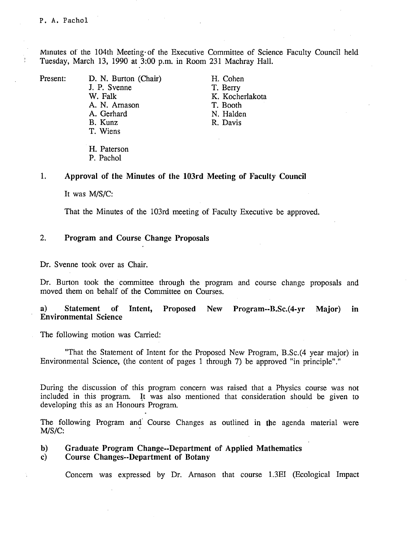Minutes of the 104th Meeting- of the Executive Committee of Science Faculty Council held Tuesday, March 13, 1990 at 3:00 p.m. in Room 231 Machray Hall.

 $\frac{1}{2}$ 

Present: D. N. Burton (Chair) H. Cohen J. P. Svenne T. Berry<br>
W. Falk K. Koche A. N. Arnason T. Booth A. Gerhard N. Halden<br>B. Kunz R. Davis T. Wiens

K. Kocherlakota R. Davis

H. Paterson P. Pachol

### 1. **Approval of the Minutes of the 103rd Meeting of Faculty Council**

It was M/S/C:

That the Minutes of the 103rd meeting of Faculty Executive be approved.

#### $2.$ **Program and Course Change Proposals**

Dr. Svenne took over as Chair.

Dr. Burton took the committee through the program and course change proposals and moved them on behalf of the Committee on Courses.

# $a)$ **Statement of Intent, Proposed New Program--B.Sc.(4-yr Major) in Environmental Science**

The following motion was Carried:

"That the Statement of Intent for the Proposed New Program, B.Sc.(4 year major) in Environmental Science, (the content of pages 1 through 7) be approved "in principle"."

During the discussion of this program concern was raised that a Physics course was not included in this program. It was also mentioned that consideration should be given to developing this as an Honours Program.

The following Program and Course Changes as outlined in the agenda material were M/S/C:

### **Graduate Program Change--Department of Applied Mathematics**   $\mathbf{b}$

**Course Changes--Department of Botany**   $\mathbf{c}$ 

Concern was expressed by Dr. Arnason that course 1.3E1 (Ecological Impact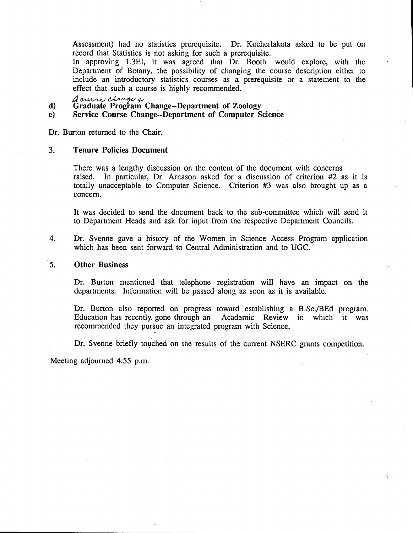Assessment) had no statistics prerequisite. Dr. Kocherlakota asked to be put on record that Statistics is not asking for such a prerequisite.

In approving 1.3E1, it was agreed that Dr. Booth would explore, with the Department of Botany, the possibility of changing the course description either to include an introductory statistics courses as a prerequisite or a statement to the effect that such a course is highly recommended.

**Graduate Program Change--Department of Zoology**   $\mathbf{d}$ 

**Service Course Change--Department of Computer Science**   $e)$ 

Dr. Burton returned to the Chair.

#### $3.$ **Tenure Policies Document**

There was a lengthy discussion on the content of the document with concerns raised. In particular, Dr. Arnason asked for a discussion of criterion #2 as it is totally unacceptable to Computer Science. Criterion #3 was also brought up as a concern.

It was decided to send the document back to the sub-committee which will send it to Department Heads and ask for input from the respective Department Councils.

Dr. Svenne gave a history of the Women in Science Access Program application 4. which has been sent forward to Central Administration and to UGC.

#### $5<sub>1</sub>$ **Other Business**

Dr. Burton mentioned that telephone registration will have an impact on the departments. Information will be passed along as soon as it is available.

Dr. Burton also reported on progress toward establishing a B.Sc./BEd program.<br>Education has recently gone through an Academic Review in which it was Academic Review in which it was recommended they pursue an integrated program with Science.

Dr. Svenne briefly touched on the results of the current NSERC grants competition.

Ç

Meeting adjourned *4:55* p.m.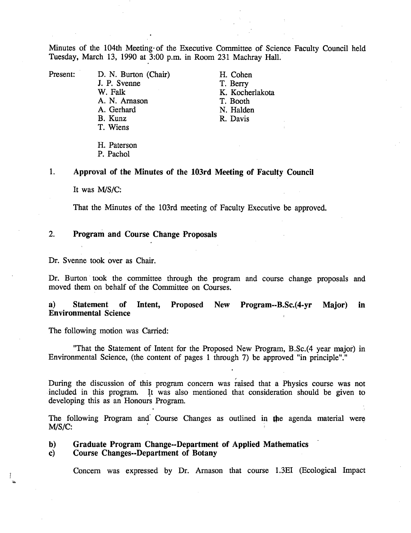Minutes of the 104th Meeting- of the Executive Committee of Science Faculty Council held Tuesday, March 13, 1990 at 3:00 p.m. in Room 231 Machray Hall.

Present: D. N. Burton (Chair) H. Cohen<br>
J. P. Svenne T. Berry J. P. Svenne<br>W. Falk A. N. Arnason<br>A. Gerhard A. Gerhard N. Halden<br>B. Kunz R. Davis T. Wiens

K. Kocherlakota<br>T. Booth R. Davis

H. Paterson P. Pachol

 $1.$ **Approval of the Minutes of the 103rd Meeting of Faculty Council** 

It was M/S/C:

That the Minutes of the 103rd meeting of Faculty Executive be approved.

#### $2.$ **Program and Course Change Proposals**

Dr. Svenne took over as Chair.

Dr. Burton took the committee through the program and course change proposals and moved them on behalf of the Committee on Courses.

 $a)$ **Statement of Intent, Proposed New Program--B.Sc.(4-yr Major) in Environmental Science** 

The following motion was Carried:

"That the Statement of Intent for the Proposed New Program, B.Sc.(4 year major) in Environmental Science, (the content of pages 1 through 7) be approved "in principle"."

During the discussion of this program concern was raised that a Physics course was not included in this program. It was also mentioned that consideration should be given to developing this as an Honours Program.

The following Program and Course Changes as outlined in **the** agenda material were M/S/C:

# **Graduate Program Change--Department of Applied Mathematics**   $\mathbf{b}$

**Course Changes--Department of Botany**   $\mathbf{c}$ 

Concern was expressed by Dr. Arnason that course 1.3E1 (Ecological Impact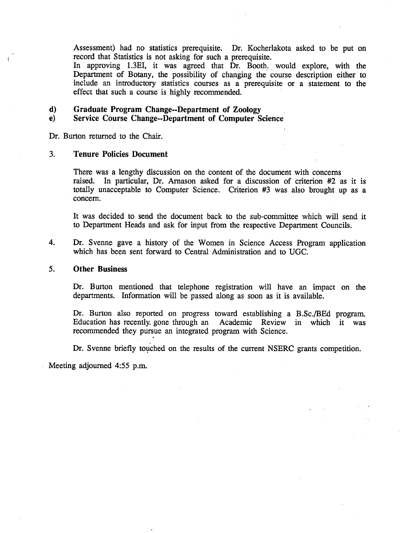Assessment) had no statistics prerequisite. Dr. Kocherlakota asked to be put on record that Statistics is not asking for such a prerequisite.

In approving 1.3E1, it was agreed that Dr. Booth, would explore, with the Department of Botany, the possibility of changing the course description either to include an introductory statistics courses as a prerequisite or a statement to the effect that such a course is highly recommended.

 $\mathbf{d}$ **Graduate Program Change--Department of Zoology** 

# **Service Course Change--Department of Computer Science**   $e)$

Dr. Burton returned to the Chair.

#### $3.$ **Tenure Policies Document**

There was a lengthy discussion on the content of the document with concerns raised. In particular, Dr. Arnason asked for a discussion of criterion #2 as it is totally unacceptable to Computer Science. Criterion #3 was also brought up as a concern.

It was decided to send the document back to the sub-committee which will send it to Department Heads and ask for input from the respective Department Councils.

4. Dr. Svenne gave a history of the Women in Science Access Program application which has been sent forward to Central Administration and to UGC.

#### $5<sub>1</sub>$ **Other Business**

Dr. Burton mentioned that telephone registration will have an impact on the departments. Information will be passed along as soon as it is available.

Dr. Burton also reported on progress toward establishing a B.Sc./BEd program. Education has recently. gone through an Academic Review in which it was recommended they pursue an integrated program with Science.

Dr. Svenne briefly touched on the results of the current NSERC grants competition.

Meeting adjourned *4:55* p.m.